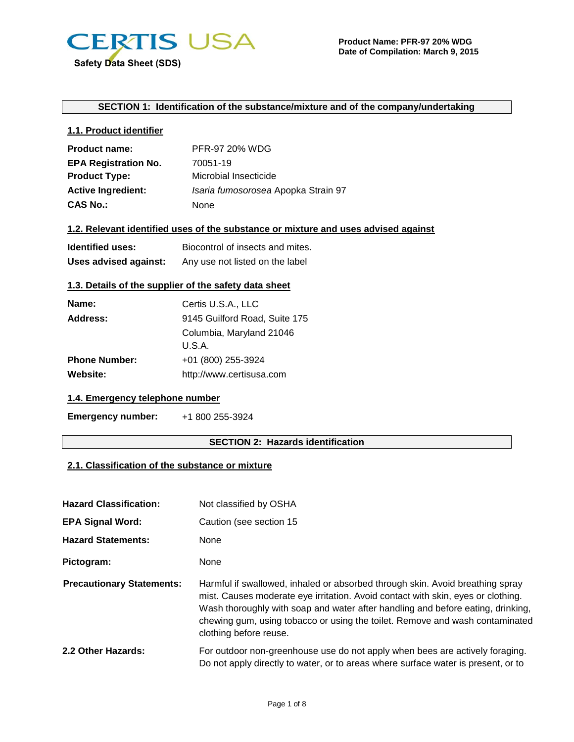

#### **SECTION 1: Identification of the substance/mixture and of the company/undertaking**

## **1.1. Product identifier**

| <b>Product name:</b>        | PFR-97 20% WDG                      |
|-----------------------------|-------------------------------------|
| <b>EPA Registration No.</b> | 70051-19                            |
| <b>Product Type:</b>        | Microbial Insecticide               |
| <b>Active Ingredient:</b>   | Isaria fumosorosea Apopka Strain 97 |
| <b>CAS No.:</b>             | None                                |

## **1.2. Relevant identified uses of the substance or mixture and uses advised against**

| <b>Identified uses:</b> | Biocontrol of insects and mites. |  |
|-------------------------|----------------------------------|--|
| Uses advised against:   | Any use not listed on the label  |  |

## **1.3. Details of the supplier of the safety data sheet**

| Certis U.S.A., LLC            |  |
|-------------------------------|--|
| 9145 Guilford Road, Suite 175 |  |
| Columbia, Maryland 21046      |  |
| U.S.A.                        |  |
| +01 (800) 255-3924            |  |
| http://www.certisusa.com      |  |
|                               |  |

## **1.4. Emergency telephone number**

**Emergency number:** +1 800 255-3924

#### **SECTION 2: Hazards identification**

## **2.1. Classification of the substance or mixture**

| <b>Hazard Classification:</b>    | Not classified by OSHA                                                                                                                                                                                                                                                                                                                                         |  |  |
|----------------------------------|----------------------------------------------------------------------------------------------------------------------------------------------------------------------------------------------------------------------------------------------------------------------------------------------------------------------------------------------------------------|--|--|
| <b>EPA Signal Word:</b>          | Caution (see section 15                                                                                                                                                                                                                                                                                                                                        |  |  |
| <b>Hazard Statements:</b>        | None                                                                                                                                                                                                                                                                                                                                                           |  |  |
| Pictogram:                       | None                                                                                                                                                                                                                                                                                                                                                           |  |  |
| <b>Precautionary Statements:</b> | Harmful if swallowed, inhaled or absorbed through skin. Avoid breathing spray<br>mist. Causes moderate eye irritation. Avoid contact with skin, eyes or clothing.<br>Wash thoroughly with soap and water after handling and before eating, drinking,<br>chewing gum, using tobacco or using the toilet. Remove and wash contaminated<br>clothing before reuse. |  |  |
| 2.2 Other Hazards:               | For outdoor non-greenhouse use do not apply when bees are actively foraging.<br>Do not apply directly to water, or to areas where surface water is present, or to                                                                                                                                                                                              |  |  |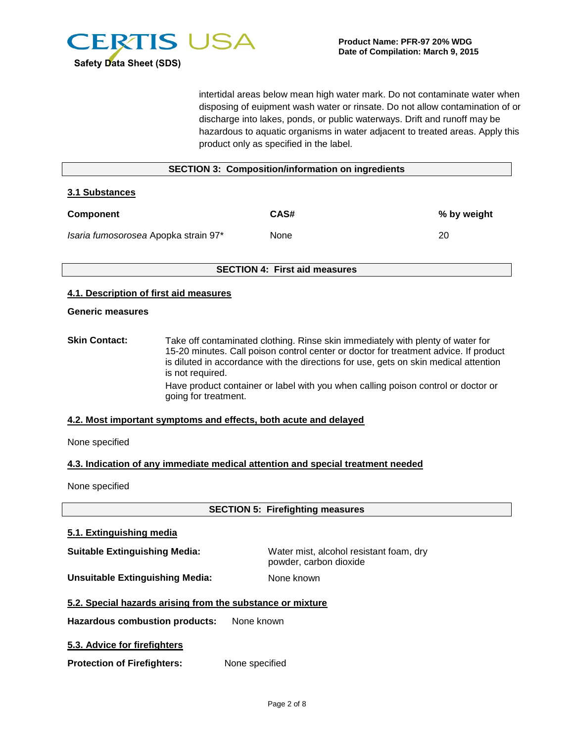

intertidal areas below mean high water mark. Do not contaminate water when disposing of euipment wash water or rinsate. Do not allow contamination of or discharge into lakes, ponds, or public waterways. Drift and runoff may be hazardous to aquatic organisms in water adjacent to treated areas. Apply this product only as specified in the label.

# **SECTION 3: Composition/information on ingredients 3.1 Substances Component CAS#** CAS# 2012 Weight 2013 *Isaria fumosorosea* Apopka strain 97\* None 20 **SECTION 4: First aid measures 4.1. Description of first aid measures Generic measures**

**Skin Contact:** Take off contaminated clothing. Rinse skin immediately with plenty of water for 15-20 minutes. Call poison control center or doctor for treatment advice. If product is diluted in accordance with the directions for use, gets on skin medical attention is not required. Have product container or label with you when calling poison control or doctor or going for treatment.

#### **4.2. Most important symptoms and effects, both acute and delayed**

None specified

#### **4.3. Indication of any immediate medical attention and special treatment needed**

None specified

**SECTION 5: Firefighting measures**

#### **5.1. Extinguishing media**

**Suitable Extinguishing Media:** Water mist, alcohol resistant foam, dry powder, carbon dioxide

**Unsuitable Extinguishing Media:** None known

## **5.2. Special hazards arising from the substance or mixture**

**Hazardous combustion products:** None known

**5.3. Advice for firefighters** 

**Protection of Firefighters:** None specified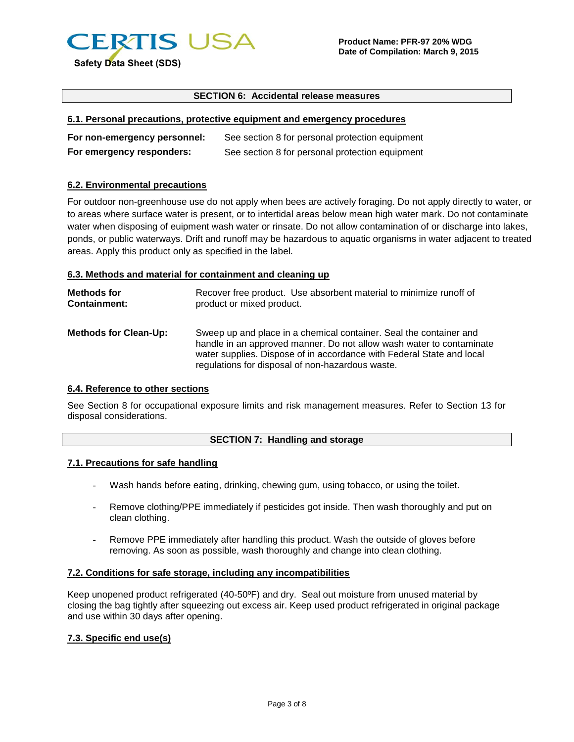

#### **SECTION 6: Accidental release measures**

#### **6.1. Personal precautions, protective equipment and emergency procedures**

| For non-emergency personnel: | See section 8 for personal protection equipment |
|------------------------------|-------------------------------------------------|
| For emergency responders:    | See section 8 for personal protection equipment |

#### **6.2. Environmental precautions**

For outdoor non-greenhouse use do not apply when bees are actively foraging. Do not apply directly to water, or to areas where surface water is present, or to intertidal areas below mean high water mark. Do not contaminate water when disposing of euipment wash water or rinsate. Do not allow contamination of or discharge into lakes, ponds, or public waterways. Drift and runoff may be hazardous to aquatic organisms in water adjacent to treated areas. Apply this product only as specified in the label.

#### **6.3. Methods and material for containment and cleaning up**

| <b>Methods for</b>           | Recover free product. Use absorbent material to minimize runoff of                                                                                                                                                                                                      |
|------------------------------|-------------------------------------------------------------------------------------------------------------------------------------------------------------------------------------------------------------------------------------------------------------------------|
| <b>Containment:</b>          | product or mixed product.                                                                                                                                                                                                                                               |
| <b>Methods for Clean-Up:</b> | Sweep up and place in a chemical container. Seal the container and<br>handle in an approved manner. Do not allow wash water to contaminate<br>water supplies. Dispose of in accordance with Federal State and local<br>regulations for disposal of non-hazardous waste. |

#### **6.4. Reference to other sections**

See Section 8 for occupational exposure limits and risk management measures. Refer to Section 13 for disposal considerations.

#### **SECTION 7: Handling and storage**

#### **7.1. Precautions for safe handling**

- Wash hands before eating, drinking, chewing gum, using tobacco, or using the toilet.
- Remove clothing/PPE immediately if pesticides got inside. Then wash thoroughly and put on clean clothing.
- Remove PPE immediately after handling this product. Wash the outside of gloves before removing. As soon as possible, wash thoroughly and change into clean clothing.

#### **7.2. Conditions for safe storage, including any incompatibilities**

Keep unopened product refrigerated (40-50ºF) and dry. Seal out moisture from unused material by closing the bag tightly after squeezing out excess air. Keep used product refrigerated in original package and use within 30 days after opening.

#### **7.3. Specific end use(s)**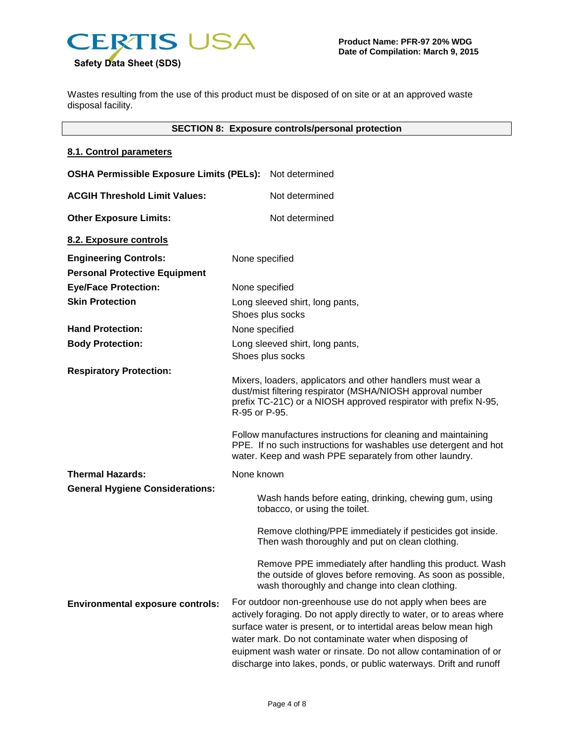

Wastes resulting from the use of this product must be disposed of on site or at an approved waste disposal facility.

## **SECTION 8: Exposure controls/personal protection**

#### **8.1. Control parameters**

| <b>OSHA Permissible Exposure Limits (PELs):</b> |                                                                                                                                                                                                                                                                                                                                                                                                               | Not determined                                                                                                                                                                                                                                                                                                                                                                                            |
|-------------------------------------------------|---------------------------------------------------------------------------------------------------------------------------------------------------------------------------------------------------------------------------------------------------------------------------------------------------------------------------------------------------------------------------------------------------------------|-----------------------------------------------------------------------------------------------------------------------------------------------------------------------------------------------------------------------------------------------------------------------------------------------------------------------------------------------------------------------------------------------------------|
| <b>ACGIH Threshold Limit Values:</b>            |                                                                                                                                                                                                                                                                                                                                                                                                               | Not determined                                                                                                                                                                                                                                                                                                                                                                                            |
| <b>Other Exposure Limits:</b>                   |                                                                                                                                                                                                                                                                                                                                                                                                               | Not determined                                                                                                                                                                                                                                                                                                                                                                                            |
| 8.2. Exposure controls                          |                                                                                                                                                                                                                                                                                                                                                                                                               |                                                                                                                                                                                                                                                                                                                                                                                                           |
| <b>Engineering Controls:</b>                    | None specified                                                                                                                                                                                                                                                                                                                                                                                                |                                                                                                                                                                                                                                                                                                                                                                                                           |
| <b>Personal Protective Equipment</b>            |                                                                                                                                                                                                                                                                                                                                                                                                               |                                                                                                                                                                                                                                                                                                                                                                                                           |
| <b>Eye/Face Protection:</b>                     | None specified                                                                                                                                                                                                                                                                                                                                                                                                |                                                                                                                                                                                                                                                                                                                                                                                                           |
| <b>Skin Protection</b>                          |                                                                                                                                                                                                                                                                                                                                                                                                               | Long sleeved shirt, long pants,                                                                                                                                                                                                                                                                                                                                                                           |
|                                                 | Shoes plus socks                                                                                                                                                                                                                                                                                                                                                                                              |                                                                                                                                                                                                                                                                                                                                                                                                           |
| <b>Hand Protection:</b>                         | None specified                                                                                                                                                                                                                                                                                                                                                                                                |                                                                                                                                                                                                                                                                                                                                                                                                           |
| <b>Body Protection:</b>                         |                                                                                                                                                                                                                                                                                                                                                                                                               | Long sleeved shirt, long pants,                                                                                                                                                                                                                                                                                                                                                                           |
|                                                 |                                                                                                                                                                                                                                                                                                                                                                                                               | Shoes plus socks                                                                                                                                                                                                                                                                                                                                                                                          |
| <b>Respiratory Protection:</b>                  | Mixers, loaders, applicators and other handlers must wear a<br>dust/mist filtering respirator (MSHA/NIOSH approval number<br>prefix TC-21C) or a NIOSH approved respirator with prefix N-95,<br>R-95 or P-95.<br>Follow manufactures instructions for cleaning and maintaining<br>PPE. If no such instructions for washables use detergent and hot<br>water. Keep and wash PPE separately from other laundry. |                                                                                                                                                                                                                                                                                                                                                                                                           |
| <b>Thermal Hazards:</b>                         | None known                                                                                                                                                                                                                                                                                                                                                                                                    |                                                                                                                                                                                                                                                                                                                                                                                                           |
| <b>General Hygiene Considerations:</b>          |                                                                                                                                                                                                                                                                                                                                                                                                               | Wash hands before eating, drinking, chewing gum, using<br>tobacco, or using the toilet.                                                                                                                                                                                                                                                                                                                   |
|                                                 |                                                                                                                                                                                                                                                                                                                                                                                                               | Remove clothing/PPE immediately if pesticides got inside.<br>Then wash thoroughly and put on clean clothing.                                                                                                                                                                                                                                                                                              |
|                                                 |                                                                                                                                                                                                                                                                                                                                                                                                               | Remove PPE immediately after handling this product. Wash<br>the outside of gloves before removing. As soon as possible,<br>wash thoroughly and change into clean clothing.                                                                                                                                                                                                                                |
| <b>Environmental exposure controls:</b>         |                                                                                                                                                                                                                                                                                                                                                                                                               | For outdoor non-greenhouse use do not apply when bees are<br>actively foraging. Do not apply directly to water, or to areas where<br>surface water is present, or to intertidal areas below mean high<br>water mark. Do not contaminate water when disposing of<br>euipment wash water or rinsate. Do not allow contamination of or<br>discharge into lakes, ponds, or public waterways. Drift and runoff |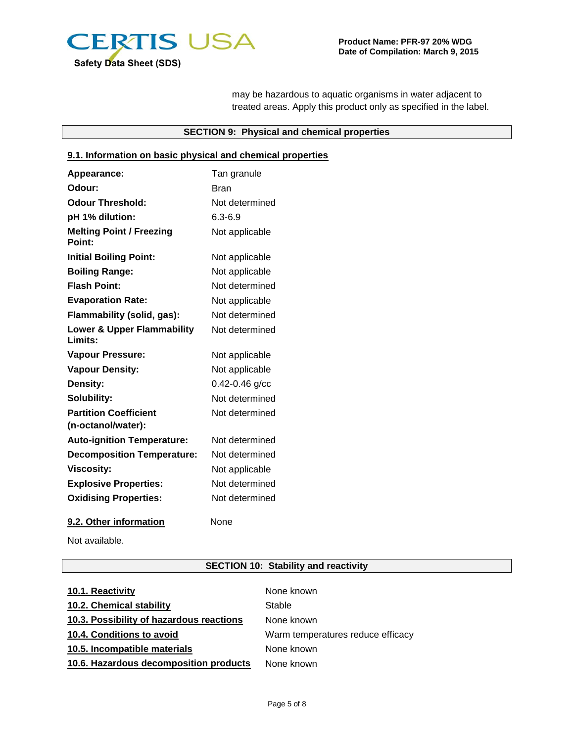

may be hazardous to aquatic organisms in water adjacent to treated areas. Apply this product only as specified in the label.

## **SECTION 9: Physical and chemical properties**

## **9.1. Information on basic physical and chemical properties**

| Appearance:                                      | Tan granule        |
|--------------------------------------------------|--------------------|
| Odour:                                           | Bran               |
| <b>Odour Threshold:</b>                          | Not determined     |
| pH 1% dilution:                                  | $6.3 - 6.9$        |
| <b>Melting Point / Freezing</b><br>Point:        | Not applicable     |
| <b>Initial Boiling Point:</b>                    | Not applicable     |
| <b>Boiling Range:</b>                            | Not applicable     |
| <b>Flash Point:</b>                              | Not determined     |
| <b>Evaporation Rate:</b>                         | Not applicable     |
| Flammability (solid, gas):                       | Not determined     |
| <b>Lower &amp; Upper Flammability</b><br>Limits: | Not determined     |
| <b>Vapour Pressure:</b>                          | Not applicable     |
| <b>Vapour Density:</b>                           | Not applicable     |
| Density:                                         | $0.42 - 0.46$ g/cc |
| Solubility:                                      | Not determined     |
| <b>Partition Coefficient</b>                     | Not determined     |
| (n-octanol/water):                               |                    |
| <b>Auto-ignition Temperature:</b>                | Not determined     |
| <b>Decomposition Temperature:</b>                | Not determined     |
| <b>Viscosity:</b>                                | Not applicable     |
| <b>Explosive Properties:</b>                     | Not determined     |
| <b>Oxidising Properties:</b>                     | Not determined     |
| 9.2. Other information                           | None               |

Not available.

## **SECTION 10: Stability and reactivity**

| 10.1. Reactivity                         | None known                        |
|------------------------------------------|-----------------------------------|
| 10.2. Chemical stability                 | Stable                            |
| 10.3. Possibility of hazardous reactions | None known                        |
| 10.4. Conditions to avoid                | Warm temperatures reduce efficacy |
| 10.5. Incompatible materials             | None known                        |
| 10.6. Hazardous decomposition products   | None known                        |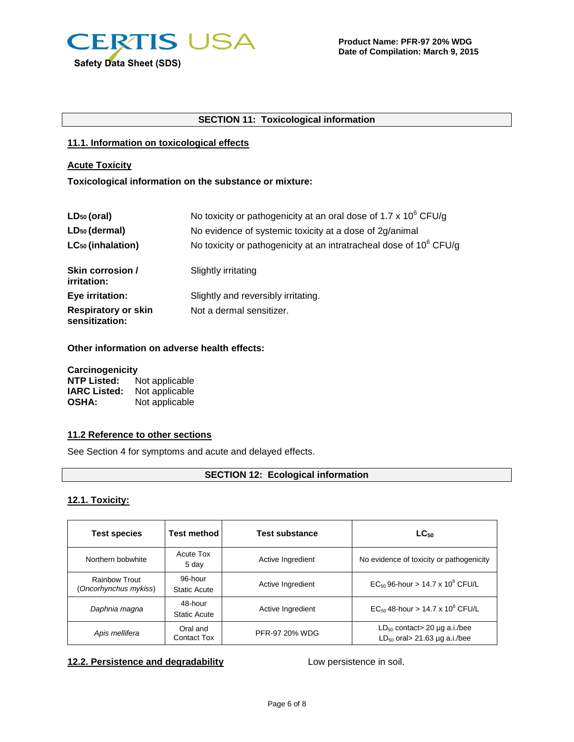

## **SECTION 11: Toxicological information**

#### **11.1. Information on toxicological effects**

## **Acute Toxicity**

#### **Toxicological information on the substance or mixture:**

| $LD_{50}$ (oral)                             | No toxicity or pathogenicity at an oral dose of 1.7 x 10 <sup>6</sup> CFU/g    |
|----------------------------------------------|--------------------------------------------------------------------------------|
| LD <sub>50</sub> (dermal)                    | No evidence of systemic toxicity at a dose of 2g/animal                        |
| LC <sub>50</sub> (inhalation)                | No toxicity or pathogenicity at an intratracheal dose of 10 <sup>6</sup> CFU/g |
| Skin corrosion /<br>irritation:              | Slightly irritating                                                            |
| Eye irritation:                              | Slightly and reversibly irritating.                                            |
| <b>Respiratory or skin</b><br>sensitization: | Not a dermal sensitizer.                                                       |

**Other information on adverse health effects:**

| Carcinogenicity     |                |  |
|---------------------|----------------|--|
| <b>NTP Listed:</b>  | Not applicable |  |
| <b>IARC Listed:</b> | Not applicable |  |
| <b>OSHA:</b>        | Not applicable |  |

## **11.2 Reference to other sections**

See Section 4 for symptoms and acute and delayed effects.

# **SECTION 12: Ecological information**

## **12.1. Toxicity:**

| <b>Test species</b>                           | <b>Test method</b>             | <b>Test substance</b> | $LC_{50}$                                                                |
|-----------------------------------------------|--------------------------------|-----------------------|--------------------------------------------------------------------------|
| Northern bobwhite                             | Acute Tox<br>5 day             | Active Ingredient     | No evidence of toxicity or pathogenicity                                 |
| <b>Rainbow Trout</b><br>(Oncorhynchus mykiss) | 96-hour<br><b>Static Acute</b> | Active Ingredient     | $EC_{50}$ 96-hour > 14.7 x 10 <sup>8</sup> CFU/L                         |
| Daphnia magna                                 | 48-hour<br><b>Static Acute</b> | Active Ingredient     | $EC_{50}$ 48-hour > 14.7 x 10 <sup>8</sup> CFU/L                         |
| Apis mellifera                                | Oral and<br><b>Contact Tox</b> | PFR-97 20% WDG        | $LD_{50}$ contact > 20 µg a.i./bee<br>$LD_{50}$ oral > 21.63 µg a.i./bee |

## **12.2. Persistence and degradability** Low persistence in soil.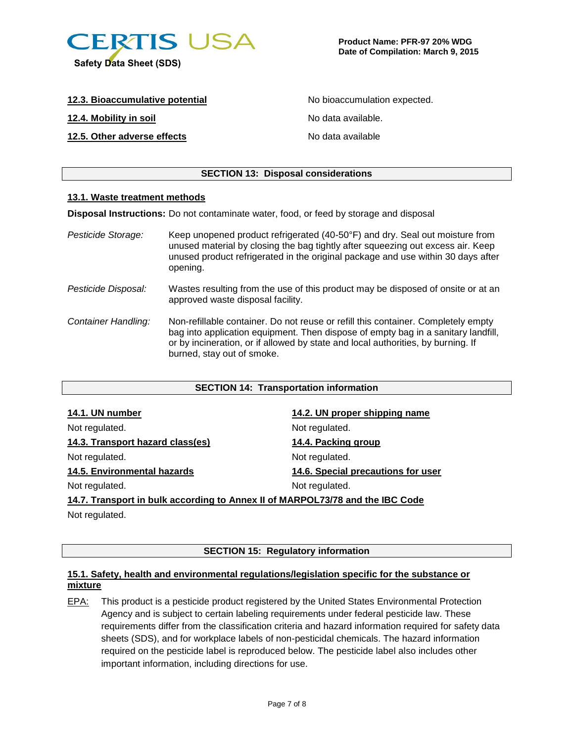

| 12.3. Bioaccumulative potential |
|---------------------------------|
|---------------------------------|

**12.4. Mobility in soil** No data available.

## **12.5. Other adverse effects** No data available

No bioaccumulation expected.

## **SECTION 13: Disposal considerations**

### **13.1. Waste treatment methods**

**Disposal Instructions:** Do not contaminate water, food, or feed by storage and disposal

| Pesticide Storage:  | Keep unopened product refrigerated (40-50°F) and dry. Seal out moisture from<br>unused material by closing the bag tightly after squeezing out excess air. Keep<br>unused product refrigerated in the original package and use within 30 days after<br>opening.                          |
|---------------------|------------------------------------------------------------------------------------------------------------------------------------------------------------------------------------------------------------------------------------------------------------------------------------------|
| Pesticide Disposal: | Wastes resulting from the use of this product may be disposed of onsite or at an<br>approved waste disposal facility.                                                                                                                                                                    |
| Container Handling: | Non-refillable container. Do not reuse or refill this container. Completely empty<br>bag into application equipment. Then dispose of empty bag in a sanitary landfill,<br>or by incineration, or if allowed by state and local authorities, by burning. If<br>burned, stay out of smoke. |

## **SECTION 14: Transportation information**

| 14.1. UN number                                                               | 14.2. UN proper shipping name      |  |
|-------------------------------------------------------------------------------|------------------------------------|--|
| Not regulated.                                                                | Not regulated.                     |  |
| 14.3. Transport hazard class(es)                                              | 14.4. Packing group                |  |
| Not regulated.                                                                | Not regulated.                     |  |
| 14.5. Environmental hazards                                                   | 14.6. Special precautions for user |  |
| Not regulated.                                                                | Not regulated.                     |  |
| 14.7. Transport in bulk according to Annex II of MARPOL73/78 and the IBC Code |                                    |  |

Not regulated.

## **SECTION 15: Regulatory information**

## **15.1. Safety, health and environmental regulations/legislation specific for the substance or mixture**

EPA: This product is a pesticide product registered by the United States Environmental Protection Agency and is subject to certain labeling requirements under federal pesticide law. These requirements differ from the classification criteria and hazard information required for safety data sheets (SDS), and for workplace labels of non-pesticidal chemicals. The hazard information required on the pesticide label is reproduced below. The pesticide label also includes other important information, including directions for use.